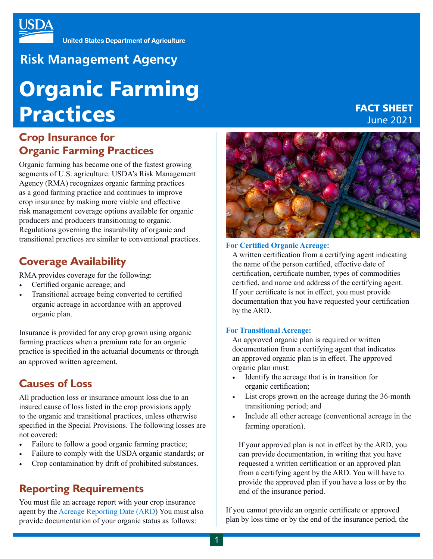## **Risk Management Agency**

# Organic Farming Practices

#### **Crop Insurance for Organic Farming Practices**

Organic farming has become one of the fastest growing segments of U.S. agriculture. USDA's Risk Management Agency (RMA) recognizes organic farming practices as a good farming practice and continues to improve crop insurance by making more viable and effective risk management coverage options available for organic producers and producers transitioning to organic. Regulations governing the insurability of organic and transitional practices are similar to conventional practices.

#### **Coverage Availability**

RMA provides coverage for the following:

- Certified organic acreage; and
- Transitional acreage being converted to certified organic acreage in accordance with an approved organic plan.

Insurance is provided for any crop grown using organic farming practices when a premium rate for an organic practice is specified in the actuarial documents or through an approved written agreement.

## **Causes of Loss**

All production loss or insurance amount loss due to an insured cause of loss listed in the crop provisions apply to the organic and transitional practices, unless otherwise specified in the Special Provisions. The following losses are not covered:

- Failure to follow a good organic farming practice;
- Failure to comply with the USDA organic standards; or
- Crop contamination by drift of prohibited substances.

#### **Reporting Requirements**

You must file an acreage report with your crop insurance agent by the [Acreage Reporting Date \(ARD](https://webapp.rma.usda.gov/apps/actuarialinformationbrowser2019/DisplayCrop.aspx)) You must also provide documentation of your organic status as follows:



FACT SHEET June 2021

#### **For Certified Organic Acreage:**

A written certification from a certifying agent indicating the name of the person certified, effective date of certification, certificate number, types of commodities certified, and name and address of the certifying agent. If your certificate is not in effect, you must provide documentation that you have requested your certification by the ARD.

#### **For Transitional Acreage:**

An approved organic plan is required or written documentation from a certifying agent that indicates an approved organic plan is in effect. The approved organic plan must:

- Identify the acreage that is in transition for organic certification;
- List crops grown on the acreage during the 36-month transitioning period; and
- Include all other acreage (conventional acreage in the farming operation).

If your approved plan is not in effect by the ARD, you can provide documentation, in writing that you have requested a written certification or an approved plan from a certifying agent by the ARD. You will have to provide the approved plan if you have a loss or by the end of the insurance period.

If you cannot provide an organic certificate or approved plan by loss time or by the end of the insurance period, the